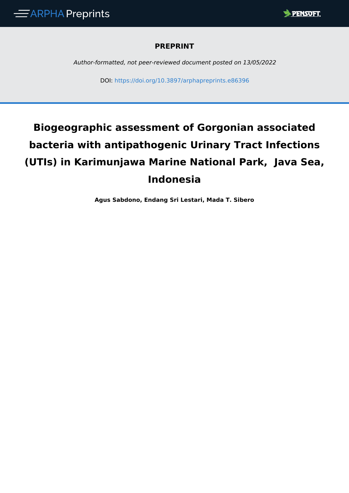

### **PREPRINT**

*Author-formatted, not peer-reviewed document posted on 13/05/2022*

DOI: <https://doi.org/10.3897/arphapreprints.e86396>

# **Biogeographic assessment of Gorgonian associated bacteria with antipathogenic Urinary Tract Infections (UTIs) in Karimunjawa Marine National Park, Java Sea, Indonesia**

**Agus Sabdono, Endang Sri Lestari, Mada T. Sibero**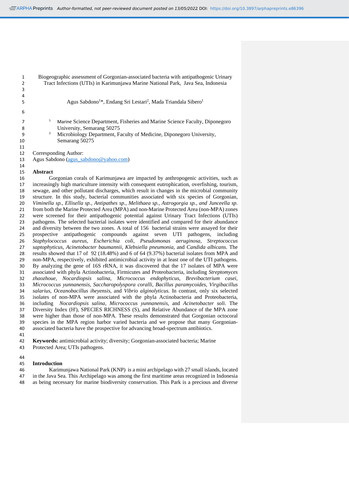Biogeographic assessment of Gorgonian-associated bacteria with antipathogenic Urinary Tract Infections (UTIs) in Karimunjawa Marine National Park, Java Sea, Indonesia Agus Sabdono<sup>1\*</sup>, Endang Sri Lestari<sup>2</sup>, Mada Triandala Sibero<sup>1</sup> 1. Marine Science Department, Fisheries and Marine Science Faculty, Diponegoro 8 University, Semarang 50275 2. Microbiology Department, Faculty of Medicine, Diponegoro University, Semarang 50275 Corresponding Author: Agus Sabdono [\(agus\\_sabdono@yahoo.com\)](mailto:agus_sabdono@yahoo.com)

#### **Abstract**

 Gorgonian corals of Karimunjawa are impacted by anthropogenic activities, such as increasingly high mariculture intensity with consequent eutrophication, overfishing, tourism, sewage, and other pollutant discharges, which result in changes in the microbial community structure. In this study, bacterial communities associated with six species of Gorgonian, *Viminella sp., Ellisella sp., Antipathes sp., Melithaea sp., Astrogorgia sp., and Junceella sp.* from both the Marine Protected Area (MPA) and non-Marine Protected Area (non-MPA) zones were screened for their antipathogenic potential against Urinary Tract Infections (UTIs) pathogens. The selected bacterial isolates were identified and compared for their abundance and diversity between the two zones. A total of 156 bacterial strains were assayed for their prospective antipathogenic compounds against seven UTI pathogens, including *Staphylococcus aureus, Escherichia coli, Pseudomonas aeruginosa, Streptococcus saptophyticus, Acinetobacter baumannii, Klebsiella pneumonia,* and *Candida albicans*. The 28 results showed that 17 of 92 (18.48%) and 6 of 64 (9.37%) bacterial isolates from MPA and<br>29 non-MPA, respectively, exhibited antimicrobial activity in at least one of the UTI pathogens. non-MPA, respectively, exhibited antimicrobial activity in at least one of the UTI pathogens. By analyzing the gene of 16S rRNA, it was discovered that the 17 isolates of MPA were associated with phyla Actinobacteria, Firmicutes and Proteobacteria, including *Streptomyces zhaozhoue, Nocardiopsis salina, Micrococcus endophyticus, Brevibacterium casei, Micrococcus yunnanensis, Saccharopolyspora coralli, Bacillus paramycoides, Virgibacillus salarius, Oceanobacillus iheyensis,* and *Vibrio alginolyticus.* In contrast, only six selected isolates of non-MPA were associated with the phyla Actinobacteria and Proteobacteria, including *Nocardiopsis salina, Micrococcus yunnanensis,* and *Acinetobacter soli*. The Diversity Index (H'), SPECIES RICHNESS (S), and Relative Abundance of the MPA zone were higher than those of non-MPA. These results demonstrated that Gorgonian octocoral species in the MPA region harbor varied bacteria and we propose that many Gorgonian-associated bacteria have the prospective for advancing broad-spectrum antibiotics.

 **Keywords:** antimicrobial activity; diversity; Gorgonian-associated bacteria; Marine Protected Area; UTIs pathogens.

**Introduction**

 Karimunjawa National Park (KNP) is a mini archipelago with 27 small islands, located in the Java Sea. This Archipelago was among the first maritime areas recognized in Indonesia as being necessary for marine biodiversity conservation. This Park is a precious and diverse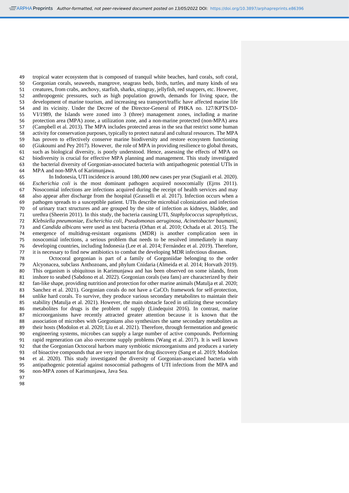tropical water ecosystem that is composed of tranquil white beaches, hard corals, soft coral, Gorgonian corals, seaweeds, mangrove, seagrass beds, birds, turtles, and many kinds of sea creatures, from crabs, anchovy, starfish, sharks, stingray, jellyfish, red snappers, etc. However, anthropogenic pressures, such as high population growth, demands for living space, the development of marine tourism, and increasing sea transport/traffic have affected marine life and its vicinity. Under the Decree of the Director-General of PHKA no. 127/KPTS/DJ- VI/1989, the Islands were zoned into 3 (three) management zones, including a marine protection area (MPA) zone, a utilization zone, and a non-marine protected (non-MPA) area (Campbell et al. 2013). The MPA includes protected areas in the sea that restrict some human activity for conservation purposes, typically to protect natural and cultural resources. The MPA has proven to effectively conserve marine biodiversity and restore ecosystem functioning (Giakoumi and Pey 2017). However, the role of MPA in providing resilience to global threats, 61 such as biological diversity, is poorly understood. Hence, assessing the effects of MPA on biodiversity is crucial for effective MPA planning and management. This study investigated biodiversity is crucial for effective MPA planning and management. This study investigated the bacterial diversity of Gorgonian-associated bacteria with antipathogenic potential UTIs in MPA and non-MPA of Karimunjawa.

 In Indonesia, UTI incidence is around 180,000 new cases per year (Sugianli et al. 2020). *Escherichia coli* is the most dominant pathogen acquired nosocomially (Ejrns 2011). Nosocomial infections are infections acquired during the receipt of health services and may also appear after discharge from the hospital (Grasselli et al. 2017). Infection occurs when a pathogen spreads to a susceptible patient. UTIs describe microbial colonization and infection of urinary tract structures and are grouped by the site of infection as kidneys, bladder, and urethra (Sheerin 2011). In this study, the bacteria causing UTI, *Staphylococcus saprophyticus, Klebsiella pneumoniae, Escherichia coli, Pseudomonas aeruginosa, Acinetobacter baumanii,* and *Candida albicans* were used as test bacteria (Orhan et al. 2010; Ochada et al. 2015). The emergence of multidrug-resistant organisms (MDR) is another complication seen in nosocomial infections, a serious problem that needs to be resolved immediately in many 76 developing countries, including Indonesia (Lee et al. 2014; Fernández et al. 2019). Therefore,<br>77 it is necessary to find new antibiotics to combat the developing MDR infectious diseases. it is necessary to find new antibiotics to combat the developing MDR infectious diseases.

 Octocoral gorgonian is part of a family of Gorgoniidae belonging to the order Alcyonacea, subclass Anthozoans, and phylum Cnidaria (Almeida et al. 2014; Horvath 2019). This organism is ubiquitous in Karimunjawa and has been observed on some islands, from inshore to seabed (Sabdono et al. 2022). Gorgonian corals (sea fans) are characterized by their fan-like shape, providing nutrition and protection for other marine animals (Matulja et al. 2020; 83 Sanchez et al. 2021). Gorgonian corals do not have a CaCO<sub>3</sub> framework for self-protection, unlike hard corals. To survive, they produce various secondary metabolites to maintain their stability (Matulja et al. 2021). However, the main obstacle faced in utilizing these secondary metabolites for drugs is the problem of supply (Lindequist 2016). In contrast, marine microorganisms have recently attracted greater attention because it is known that the association of microbes with Gorgonians also synthesizes the same secondary metabolites as their hosts (Modolon et al. 2020; Liu et al. 2021). Therefore, through fermentation and genetic engineering systems, microbes can supply a large number of active compounds. Performing rapid regeneration can also overcome supply problems (Wang et al. 2017). It is well known that the Gorgonian Octocoral harbors many symbiotic microorganisms and produces a variety of bioactive compounds that are very important for drug discovery (Sang et al. 2019; Modolon et al. 2020). This study investigated the diversity of Gorgonian-associated bacteria with antipathogenic potential against nosocomial pathogens of UTI infections from the MPA and non-MPA zones of Karimunjawa, Java Sea.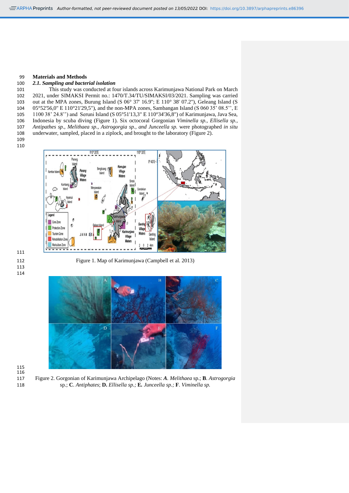#### **Materials and Methods**

#### *2.1. Sampling and bacterial isolation*

 This study was conducted at four islands across Karimunjawa National Park on March 2021, under SIMAKSI Permit no.: 1470/T.34/TU/SIMAKSI/03/2021. Sampling was carried 103 out at the MPA zones, Burung Island (S 06° 37' 16.9"; E 110° 38' 07.2"), Geleang Island (S 05°52'56,0" E 110°21'29,5"), and the non-MPA zones, Sambangan Island (S 060 35' 08.5'', E 1100 38' 24.8'') and Seruni Island (S 05°51'13,3" E 110°34'36,8") of Karimunjawa, Java Sea, Indonesia by scuba diving (Figure 1). Six octocoral Gorgonian *Viminella sp., Ellisella sp., Antipathes sp., Melithaea sp., Astrogorgia sp., and Junceella sp.* were photographed *in situ* underwater, sampled, placed in a ziplock, and brought to the laboratory (Figure 2).

 



 

Figure 1. Map of Karimunjawa (Campbell et al. 2013)



 

 Figure 2. Gorgonian of Karimunjawa Archipelago (Notes: *A. Melithaea* sp.; **B**. *Astrogorgia* sp.; **C**. *Antiphates*; **D.** *Ellisella sp.;* **E***. Junceella sp.;* **F**. *Viminella sp.*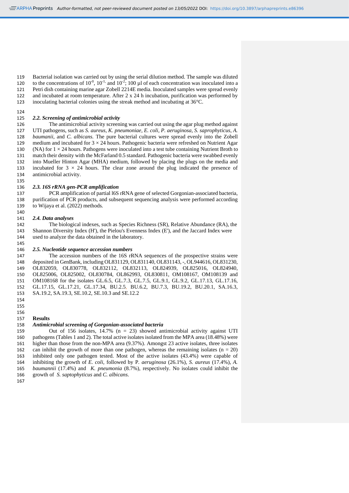Bacterial isolation was carried out by using the serial dilution method. The sample was diluted 120 to the concentrations of  $10^{-0}$ ,  $10^{-1}$ , and  $10^{-2}$ ; 100  $\mu$ l of each concentration was inoculated into a Petri dish containing marine agar Zobell 2214E media. Inoculated samples were spread evenly and incubated at room temperature. After 2 x 24 h incubation, purification was performed by

inoculating bacterial colonies using the streak method and incubating at 36°C.

 

#### *2.2. Screening of antimicrobial activity*

126 The antimicrobial activity screening was carried out using the agar plug method against<br>127 UTI pathogens, such as *S. aureus, K. pneumoniae, E. coli. P. aeruginosa, S. saprophyticus, A.*  UTI pathogens, such as *S. aureus, K. pneumoniae, E. coli, P. aeruginosa, S. saprophyticus, A. baumanii,* and *C. albicans.* The pure bacterial cultures were spread evenly into the Zobell 129 medium and incubated for  $3 \times 24$  hours. Pathogenic bacteria were refreshed on Nutrient Agar 130 (NA) for  $1 \times 24$  hours. Pathogens were inoculated into a test tube containing Nutrient Broth to match their density with the McFarland 0.5 standard. Pathogenic bacteria were swabbed evenly into Mueller Hinton Agar (MHA) medium, followed by placing the plugs on the media and 133 incubated for  $3 \times 24$  hours. The clear zone around the plug indicated the presence of antimicrobial activity.

#### *2.3. 16S rRNA gen-PCR amplification*

 PCR amplification of partial l6S rRNA gene of selected Gorgonian-associated bacteria, purification of PCR products, and subsequent sequencing analysis were performed according to Wijaya et al. (2022) methods.

#### *2.4. Data analyses*

 The biological indexes, such as Species Richness (SR), Relative Abundance (RA), the Shannon Diversity Index (H'), the Pielou's Evenness Index (E'), and the Jaccard Index were used to analyze the data obtained in the laboratory.

#### *2.5. Nucleotide sequence accession numbers*

 The accession numbers of the 16S rRNA sequences of the prospective strains were deposited in GenBank, including OL831129, OL831140, OL831143, -, OL944616, OL831230, OL832059, OL830778, OL832112, OL832113, OL824939, OL825016, OL824940, OL825006, OL825002, OL830784, OL862993, OL830811, OM108167, OM108139 and OM108168 for the isolates GL.6.5, GL.7.3, GL.7.5, GL.9.1, GL.9.2, GL.17.13, GL.17.16, GL.17.15, GL.17.21, GL.17.34, BU.2.5, BU.6.2, BU.7.3, BU.19.2, BU.20.1, SA.16.3, SA.19.2, SA.19.3, SE.10.2, SE.10.3 and SE.12.2 

#### **Results**

#### *Antimicrobial screening of Gorgonian-associated bacteria*

 Out of 156 isolates, 14.7% (n = 23) showed antimicrobial activity against UTI pathogens (Tables 1 and 2). The total active isolates isolated from the MPA area (18.48%) were higher than those from the non-MPA area (9.37%). Amongst 23 active isolates, three isolates 162 can inhibit the growth of more than one pathogen, whereas the remaining isolates  $(n = 20)$  inhibited only one pathogen tested. Most of the active isolates (43.4%) were capable of 164 inhibiting the growth of *E. coli*, followed by P. *aeruginosa* (26.1%), *S. aureus* (17.4%), *A.* 165 *baumannii* (17.4%) and *K. pneumonia* (8.7%), respectively. No isolates could inhibit the *baumannii* (17.4%) and *K. pneumonia* (8.7%), respectively. No isolates could inhibit the growth of *S. saptophyticus* and *C. albicans*.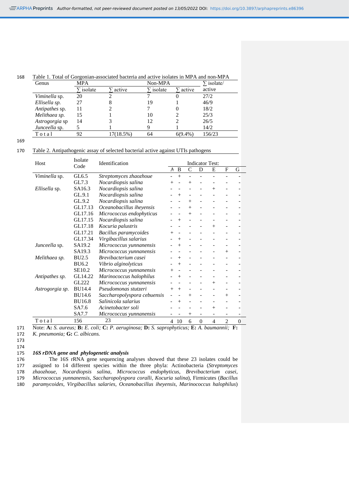#### 168 Table 1. Total of Gorgonian-associated bacteria and active isolates in MPA and non-MPA

| Genus          | <b>MPA</b> |           | Non-MPA |            | $\Sigma$ isolate/ |
|----------------|------------|-----------|---------|------------|-------------------|
|                | isolate    | active    | isolate | active     | active            |
| Viminella sp.  | 20         |           |         |            | 27/2              |
| Ellisella sp.  | 27         | 8         | 19      |            | 46/9              |
| Antipathes sp. |            |           |         |            | 18/2              |
| Melithaea sp.  | 15         |           | 10      |            | 25/3              |
| Astrogorgia sp | 14         |           | 12      |            | 26/5              |
| Junceella sp.  |            |           | Q       |            | 14/2              |
| Total          | 92         | 17(18.5%) | 64      | $6(9.4\%)$ | 156/23            |

169

#### 170 Table 2. Antipathogenic assay of selected bacterial active against UTIs pathogens

| Host            | Isolate       | Identification                                                                       | <b>Indicator Test:</b> |                |        |                     |        |        |                  |
|-----------------|---------------|--------------------------------------------------------------------------------------|------------------------|----------------|--------|---------------------|--------|--------|------------------|
| Code            |               |                                                                                      |                        | B              | C      | D                   | E      | F      | G                |
| Viminella sp.   | GL6.5         | Streptomyces zhaozhoue                                                               |                        | $+$            |        |                     |        |        |                  |
|                 | GL7.3         | Nocardiopsis salina                                                                  |                        |                | $^{+}$ |                     |        |        |                  |
| Ellisella sp.   | SA16.3        | Nocardiopsis salina                                                                  |                        |                |        |                     | $^{+}$ |        |                  |
|                 | GL.9.1        | Nocardiopsis salina                                                                  |                        | $\overline{+}$ |        |                     |        |        |                  |
|                 | GL.9.2        | Nocardiopsis salina                                                                  |                        |                | $^{+}$ |                     |        |        |                  |
|                 | GL17.13       | Oceanobacillus iheyensis                                                             |                        |                | $+$    |                     |        |        |                  |
|                 | GL17.16       | Micrococcus endophyticus                                                             |                        |                | $^{+}$ |                     |        |        |                  |
|                 | GL17.15       | Nocardiopsis salina                                                                  |                        | $^+$           |        |                     |        |        |                  |
|                 | GL17.18       | Kocuria palustris                                                                    |                        |                |        |                     | $+$    |        |                  |
|                 | GL17.21       | Bacillus paramycoides                                                                | $^{+}$                 |                |        |                     |        |        |                  |
|                 | GL17.34       | Virgibacillus salarius                                                               |                        | $^{+}$         |        |                     |        |        |                  |
| Junceella sp.   | SA19.2        | Micrococcus yunnanensis                                                              |                        | $\overline{+}$ |        |                     |        |        |                  |
|                 | SA19.3        | Micrococcus yunnanensis                                                              |                        |                |        |                     |        | $^{+}$ |                  |
| Melithaea sp.   | <b>BU2.5</b>  | Brevibacterium casei                                                                 |                        | $^{+}$         |        |                     |        |        |                  |
|                 | <b>BU6.2</b>  | Vibrio alginolyticus                                                                 |                        | $^{+}$         |        |                     |        |        |                  |
|                 | SE10.2        | Micrococcus yunnanensis                                                              |                        |                |        |                     |        |        |                  |
| Antipathes sp.  | GL14.22       | Marinococcus halophilus                                                              |                        | $^+$           |        |                     |        |        |                  |
|                 | GL222         | Micrococcus yunnanensis                                                              |                        |                |        |                     | $+$    |        |                  |
| Astrogorgia sp. | <b>BU14.4</b> | Pseudomonas stutzeri                                                                 | $\overline{+}$         | $+$            |        |                     |        |        |                  |
|                 | <b>BU14.6</b> | Saccharopolyspora cebuensis                                                          |                        |                | $^{+}$ |                     |        | $^{+}$ |                  |
|                 | <b>BU16.8</b> | Salinicola salarius                                                                  |                        | $^+$           |        |                     |        |        |                  |
|                 | SA7.6         | Acinetobacter soli                                                                   |                        |                |        |                     | $+$    |        |                  |
|                 | SA7.7         | Micrococcus yunnanensis                                                              |                        |                | $^{+}$ |                     |        |        |                  |
| Total           | 156           | 23                                                                                   | $\overline{4}$         | 10             | 6      | $\overline{0}$      | 4      | 2      | $\boldsymbol{0}$ |
| $\mathbf{r}$ .  | $\mathbf{r}$  | $\bullet$ . The set of $\bullet$<br>$\mathbf{r}$<br>$\sim$<br>$\cdots$ $\sim$ $\sim$ | $\mathbf{r}$           |                | Ð      | $\lambda$ $\lambda$ |        |        | $\blacksquare$   |

171 Note: **A:** *S. aureus;* **B:** *E. coli;* **C:** *P. aeruginosa;* **D:** *S. saprophyticus;* **E:** *A. baumannii;* **F:** 172 *K. pneumonia;* **G:** *C. albicans.*

173 174

#### 175 *16S rDNA gene and phylogenetic analysis*

176 The 16S rRNA gene sequencing analyses showed that these 23 isolates could be 177 assigned to 14 different species within the three phyla: Actinobacteria (Streptomyces assigned to 14 different species within the three phyla: Actinobacteria (*Streptomyces* 178 *zhaozhoue, Nocardiopsis salina, Micrococcus endophyticus, Brevibacterium casei,*  179 *Micrococcus yunnanensis, Saccharopolyspora coralli, Kocuria salina*), Firmicutes (*Bacillus*  180 *paramycoides, Virgibacillus salaries, Oceanobacillus iheyensis, Marinococcus halophilus*)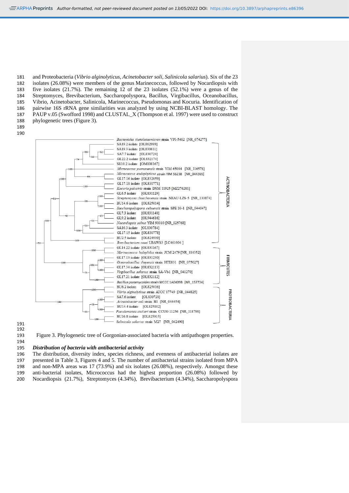and Proteobacteria (*Vibrio alginolyticus, Acinetobacter soli, Salinicola salarius*). Six of the 23 isolates (26.08%) were members of the genus Marinecoccus, followed by Nocardiopsis with five isolates (21.7%). The remaining 12 of the 23 isolates (52.1%) were a genus of the Streptomyces, Brevibacterium, Saccharopolyspora, Bacillus, Virgibacillus, Oceanobacillus, Vibrio, Acinetobacter, Salinicola, Marinecoccus, Pseudomonas and Kocuria. Identification of pairwise 16S rRNA gene similarities was analyzed by using NCBI-BLAST homology. The PAUP v.05 (Swofford 1998) and CLUSTAL\_X (Thompson et al. 1997) were used to construct phylogenetic trees (Figure 3).

 



#### 

Figure 3. Phylogenetic tree of Gorgonian-associated bacteria with antipathogen properties.

## *Distribution of bacteria with antibacterial activity*

The distribution, diversity index, species richness, and evenness of antibacterial isolates are presented in Table 3, Figures 4 and 5. The number of antibacterial strains isolated from MPA and non-MPA areas was 17 (73.9%) and six isolates (26.08%), respectively. Amongst these anti-bacterial isolates, Micrococcus had the highest proportion (26.08%) followed by Nocardiopsis (21.7%), Streptomyces (4.34%), Brevibacterium (4.34%), Saccharopolyspora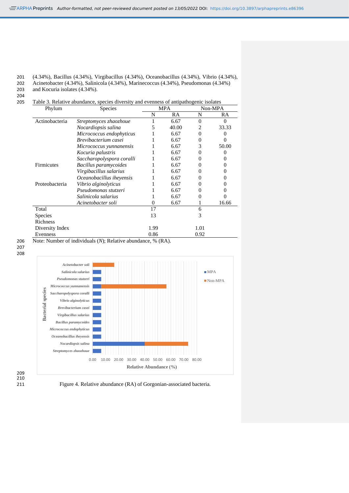#### 201 (4.34%), Bacillus (4.34%), Virgibacillus (4.34%), Oceanobacillus (4.34%), Vibrio (4.34%),

202 Acinetobacter (4.34%), Salinicola (4.34%), Marinecoccus (4.34%), Pseudomonas (4.34%) 203 and Kocuria isolates (4.34%).

204

205 Table 3. Relative abundance, species diversity and evenness of antipathogenic isolates

| Phylum            | <b>Species</b>            |      | <b>MPA</b> |          | Non-MPA           |
|-------------------|---------------------------|------|------------|----------|-------------------|
|                   |                           | N    | RA         | N        | RA                |
| Actinobacteria    | Streptomyces zhaozhoue    |      | 6.67       | $\Omega$ | 0                 |
|                   | Nocardiopsis salina       | 5    | 40.00      | 2        | 33.33             |
|                   | Micrococcus endophyticus  |      | 6.67       | $\Omega$ | $\Omega$          |
|                   | Brevibacterium casei      |      | 6.67       | $\Omega$ | $\Omega$          |
|                   | Micrococcus yunnanensis   |      | 6.67       | 3        | 50.00             |
|                   | Kocuria palustris         |      | 6.67       | 0        |                   |
|                   | Saccharopolyspora coralli |      | 6.67       | 0        | 0                 |
| <b>Firmicutes</b> | Bacillus paramycoides     |      | 6.67       | 0        | 0                 |
|                   | Virgibacillus salarius    |      | 6.67       |          |                   |
|                   | Oceanobacillus iheyensis  |      | 6.67       |          | 0                 |
| Proteobacteria    | Vibrio alginolyticus      |      | 6.67       |          | 0                 |
|                   | Pseudomonas stutzeri      |      | 6.67       | 0        | 0                 |
|                   | Salinicola salarius       |      | 6.67       | 0        | $\mathbf{\Omega}$ |
|                   | Acinetobacter soli        | 0    | 6.67       |          | 16.66             |
| Total             |                           | 17   |            | 6        |                   |
| <b>Species</b>    |                           | 13   |            | 3        |                   |
| Richness          |                           |      |            |          |                   |
| Diversity Index   |                           | 1.99 |            | 1.01     |                   |
| Evenness          |                           | 0.86 |            | 0.92     |                   |

206 Note: Number of individuals (*N*); Relative abundance, % (RA). 207 208



211 Figure 4. Relative abundance (RA) of Gorgonian-associated bacteria.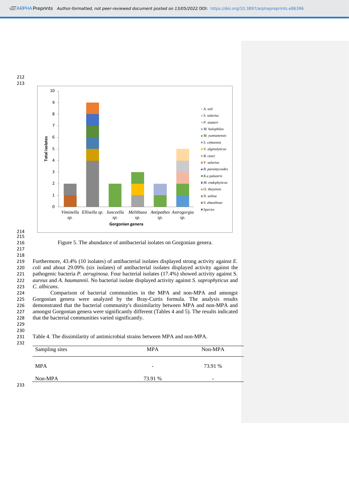

#### 214 215 217

218

216 Figure 5. The abundance of antibacterial isolates on Gorgonian genera.

 Furthermore, 43.4% (10 isolates) of antibacterial isolates displayed strong activity against *E. coli* and about 29.09% (six isolates) of antibacterial isolates displayed activity against the 221 pathogenic bacteria *P. aeruginosa*. Four bacterial isolates (17.4%) showed activity against S. *saprophyticus* and *A. haumannii.* No bacterial isolate displayed activity against *S. saprophyticus* and *aureus* and *A. baumannii.* No bacterial isolate displayed activity against *S. saprophyticus* and *C. albicans*.

 Comparison of bacterial communities in the MPA and non-MPA and amongst Gorgonian genera were analyzed by the Bray-Curtis formula. The analysis results demonstrated that the bacterial community's dissimilarity between MPA and non-MPA and amongst Gorgonian genera were significantly different (Tables 4 and 5). The results indicated that the bacterial communities varied significantly. 229

231 Table 4. The dissimilarity of antimicrobial strains between MPA and non-MPA.

| Sampling sites | <b>MPA</b>               | Non-MPA                  |
|----------------|--------------------------|--------------------------|
| <b>MPA</b>     | $\overline{\phantom{0}}$ | 73.91 %                  |
| Non-MPA        | 73.91 %                  | $\overline{\phantom{a}}$ |

233

230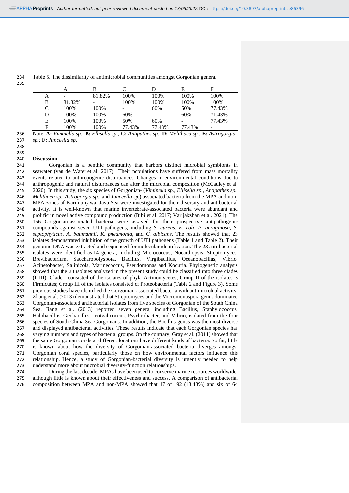Table 5. The dissimilarity of antimicrobial communities amongst Gorgonian genera.

|   | A      | В      |                          |        | E      | F      |
|---|--------|--------|--------------------------|--------|--------|--------|
| Α |        | 81.82% | 100%                     | 100%   | 100%   | 100%   |
| B | 81.82% |        | 100%                     | 100%   | 100%   | 100%   |
| C | 100\%  | 100%   | $\overline{\phantom{0}}$ | 60%    | 50%    | 77.43% |
| D | 100\%  | 100%   | 60%                      |        | 60%    | 71.43% |
| E | 100%   | 100%   | 50%                      | 60%    |        | 77.43% |
| F | 100%   | 100%   | 77.43%                   | 77.43% | 77.43% |        |

 Note: **A:** *Viminella sp.;* **B:** *Ellisella sp.;* **C:** *Antipathes sp.;* **D:** *Melithaea sp.;* **E:** *Astrogorgia sp.;* **F:** *Junceella sp*.

#### **Discussion**

241 Gorgonian is a benthic community that harbors distinct microbial symbionts in 242 seawater (van de Water et al. 2017). Their populations have suffered from mass mortality seawater (van de Water et al. 2017). Their populations have suffered from mass mortality events related to anthropogenic disturbances. Changes in environmental conditions due to anthropogenic and natural disturbances can alter the microbial composition (McCauley et al. 2020). In this study, the six species of Gorgonian- (*Viminella sp., Ellisella sp., Antipathes sp., Melithaea sp., Astrogorgia sp.,* and *Junceella sp*.) associated bacteria from the MPA and non- MPA zones of Karimunjawa, Java Sea were investigated for their diversity and antibacterial activity. It is well-known that marine invertebrate-associated bacteria were abundant and prolific in novel active compound production (Bibi et al. 2017; Varijakzhan et al. 2021). The 156 Gorgonian-associated bacteria were assayed for their prospective antipathogenic compounds against seven UTI pathogens, including *S. aureus, E. coli, P. aeruginosa, S. saptophyticus, A. baumannii, K. pneumonia,* and *C. albicans*. The results showed that 23 isolates demonstrated inhibition of the growth of UTI pathogens (Table 1 and Table 2). Their genomic DNA was extracted and sequenced for molecular identification. The 23 anti-bacterial isolates were identified as 14 genera, including Micrococcus, Nocardiopsis, Streptomyces, Brevibacterium, Saccharopolyspora, Bacillus, Virgibacillus, Oceanobacillus, Vibrio, Acinetobacter, Salinicola, Marinecoccus, Pseudomonas and Kocuria. Phylogenetic analysis showed that the 23 isolates analyzed in the present study could be classified into three clades (I–III): Clade I consisted of the isolates of phyla Actinomycetes; Group II of the isolates is Firmicutes; Group III of the isolates consisted of Proteobacteria (Table 2 and Figure 3). Some previous studies have identified the Gorgonian-associated bacteria with antimicrobial activity. Zhang et al. (2013) demonstrated that Streptomyces and the Micromonospora genus dominated Gorgonian-associated antibacterial isolates from five species of Gorgonian of the South China Sea. Jiang et al. (2013) reported seven genera, including Bacillus, Staphylococcus, Halobacillus, Geobacillus, Jeotgalicoccus, Psychrobacter, and Vibrio, isolated from the four species of South China Sea Gorgonians. In addition, the Bacillus genus was the most diverse and displayed antibacterial activities. These results indicate that each Gorgonian species has varying numbers and types of bacterial groups. On the contrary, Gray et al. (2011) showed that the same Gorgonian corals at different locations have different kinds of bacteria. So far, little is known about how the diversity of Gorgonian-associated bacteria diverges amongst Gorgonian coral species, particularly those on how environmental factors influence this relationship. Hence, a study of Gorgonian-bacterial diversity is urgently needed to help understand more about microbial diversity-function relationships.

 During the last decade, MPAs have been used to conserve marine resources worldwide, although little is known about their effectiveness and success. A comparison of antibacterial composition between MPA and non-MPA showed that 17 of 92 (18.48%) and six of 64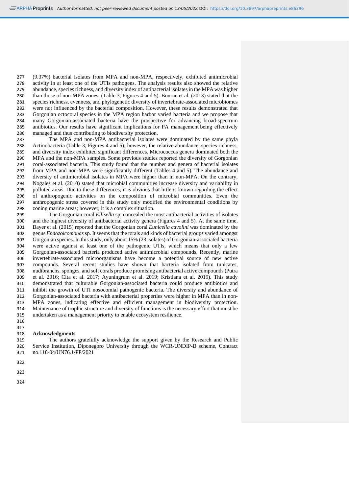(9.37%) bacterial isolates from MPA and non-MPA, respectively, exhibited antimicrobial activity in at least one of the UTIs pathogens. The analysis results also showed the relative abundance, species richness, and diversity index of antibacterial isolates in the MPA was higher than those of non-MPA zones. (Table 3, Figures 4 and 5). Bourne et al. (2013) stated that the species richness, evenness, and phylogenetic diversity of invertebrate-associated microbiomes were not influenced by the bacterial composition. However, these results demonstrated that Gorgonian octocoral species in the MPA region harbor varied bacteria and we propose that many Gorgonian-associated bacteria have the prospective for advancing broad-spectrum antibiotics. Our results have significant implications for PA management being effectively managed and thus contributing to biodiversity protection.

 The MPA and non-MPA antibacterial isolates were dominated by the same phyla Actinobacteria (Table 3, Figures 4 and 5); however, the relative abundance, species richness, 289 and diversity index exhibited significant differences. Micrococcus genera dominated both the 290 MPA and the non-MPA samples. Some previous studies reported the diversity of Gorgonian MPA and the non-MPA samples. Some previous studies reported the diversity of Gorgonian coral-associated bacteria. This study found that the number and genera of bacterial isolates from MPA and non-MPA were significantly different (Tables 4 and 5). The abundance and diversity of antimicrobial isolates in MPA were higher than in non-MPA. On the contrary, Nogales et al. (2010) stated that microbial communities increase diversity and variability in polluted areas. Due to these differences, it is obvious that little is known regarding the effect of anthropogenic activities on the composition of microbial communities. Even the anthropogenic stress covered in this study only modified the environmental conditions by zoning marine areas; however, it is a complex situation.

 The Gorgonian coral *Ellisella* sp. concealed the most antibacterial activities of isolates 300 and the highest diversity of antibacterial activity genera (Figures 4 and 5). At the same time,<br>301 Baver et al. (2015) reported that the Gorgonian coral *Eunicella cavolini* was dominated by the Bayer et al. (2015) reported that the Gorgonian coral *Eunicella cavolini* was dominated by the genus *Endozoicomonas* sp. It seems that the totals and kinds of bacterial groups varied amongst Gorgonian species. In this study, only about 15% (23 isolates) of Gorgonian-associated bacteria were active against at least one of the pathogenic UTIs, which means that only a few Gorgonian-associated bacteria produced active antimicrobial compounds. Recently, marine invertebrate-associated microorganisms have become a potential source of new active compounds. Several recent studies have shown that bacteria isolated from tunicates, nudibranchs, sponges, and soft corals produce promising antibacterial active compounds (Putra et al. 2016; Cita et al. 2017; Ayuningrum et al. 2019; Kristiana et al. 2019). This study demonstrated that culturable Gorgonian-associated bacteria could produce antibiotics and inhibit the growth of UTI nosocomial pathogenic bacteria. The diversity and abundance of Gorgonian-associated bacteria with antibacterial properties were higher in MPA than in non- MPA zones, indicating effective and efficient management in biodiversity protection. Maintenance of trophic structure and diversity of functions is the necessary effort that must be undertaken as a management priority to enable ecosystem resilience.

#### **Acknowledgments**

 The authors gratefully acknowledge the support given by the Research and Public Service Institution, Diponegoro University through the WCR-UNDIP-B scheme, Contract no.118-04/UN76.1/PP/2021

- 
-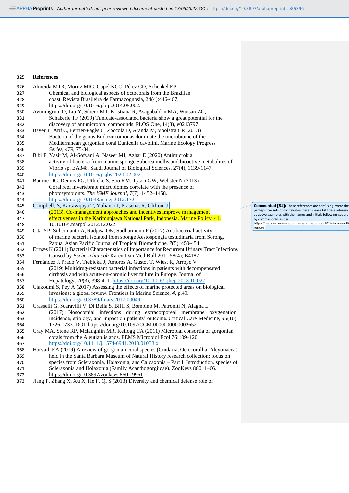#### **References**

| 326 | Almeida MTR, Moritz MIG, Capel KCC, Pérez CD, Schenkel EP                                                                     |
|-----|-------------------------------------------------------------------------------------------------------------------------------|
| 327 | Chemical and biological aspects of octocorals from the Brazilian                                                              |
| 328 | coast, Revista Brasileira de Farmacognosia, 24(4):446-467,                                                                    |
| 329 | https://doi.org/10.1016/j.bip.2014.05.002.                                                                                    |
| 330 | Ayuningrum D, Liu Y, Sibero MT, Kristiana R, Asagabaldan MA, Wuisan ZG,                                                       |
| 331 | Schäberle TF (2019) Tunicate-associated bacteria show a great potential for the                                               |
| 332 | discovery of antimicrobial compounds. PLOS One, 14(3), e0213797.                                                              |
| 333 | Bayer T, Arif C, Ferrier-Pagès C, Zoccola D, Aranda M, Voolstra CR (2013)                                                     |
| 334 | Bacteria of the genus Endozoicomonas dominate the microbiome of the                                                           |
| 335 | Mediterranean gorgonian coral Eunicella cavolini. Marine Ecology Progress                                                     |
| 336 | Series, 479, 75-84.                                                                                                           |
| 337 | Bibi F, Yasir M, Al-Sofyani A, Naseer MI, Azhar E (2020) Antimicrobial                                                        |
| 338 | activity of bacteria from marine sponge Suberea mollis and bioactive metabolites of                                           |
| 339 | Vibrio sp. EA348. Saudi Journal of Biological Sciences, 27(4), 1139-1147.                                                     |
| 340 | https://doi.org/10.1016/j.sjbs.2020.02.002                                                                                    |
| 341 | Bourne DG, Dennis PG, Uthicke S, Soo RM, Tyson GW, Webster N (2013)                                                           |
| 342 | Coral reef invertebrate microbiomes correlate with the presence of                                                            |
| 343 | photosymbionts. The ISME Journal, 7(7), 1452-1458.                                                                            |
| 344 | https://doi.org/10.1038/ismej.2012.172                                                                                        |
| 345 | Campbell, S, Kartawijaya T, Yulianto I, Prasetia, R, Clifton, J                                                               |
| 346 | (2013). Co-management approaches and incentives improve management                                                            |
| 347 | effectiveness in the Karimunjawa National Park, Indonesia. Marine Policy. 41.                                                 |
| 348 | 10.1016/j.marpol.2012.12.022                                                                                                  |
| 349 | Cita YP, Suhermanto A, Radjasa OK, Sudharmono P (2017) Antibacterial activity                                                 |
| 350 | of marine bacteria isolated from sponge Xestospongia testudinaria from Sorong,                                                |
|     |                                                                                                                               |
| 351 | Papua. Asian Pacific Journal of Tropical Biomedicine, 7(5), 450-454.                                                          |
| 352 | Ejrnæs K (2011) Bacterial Characteristics of Importance for Recurrent Urinary Tract Infections                                |
| 353 | Caused by Escherichia coli Karen Dan Med Bull 2011;58(4); B4187                                                               |
| 354 | Fernández J, Prado V, Trebicka J, Amoros A, Gustot T, Wiest R, Arroyo V                                                       |
| 355 | (2019) Multidrug-resistant bacterial infections in patients with decompensated                                                |
| 356 | cirrhosis and with acute-on-chronic liver failure in Europe. Journal of                                                       |
| 357 | Hepatology, 70(3), 398-411. https://doi.org/10.1016/j.jhep.2018.10.027                                                        |
| 358 | Giakoumi S, Pey A (2017) Assessing the effects of marine protected areas on biological                                        |
| 359 | invasions: a global review. Frontiers in Marine Science, 4, p.49.                                                             |
| 360 | https://doi.org/10.3389/fmars.2017.00049                                                                                      |
| 361 | Grasselli G, Scaravilli V, Di Bella S, Biffi S, Bombino M, Patroniti N, Alagna L                                              |
| 362 | (2017) Nosocomial infections during extracorporeal membrane oxygenation:                                                      |
| 363 | incidence, etiology, and impact on patients' outcome. Critical Care Medicine, 45(10),                                         |
| 364 | 1726-1733. DOI: https://doi.org/10.1097/CCM.0000000000002652                                                                  |
| 365 | Gray MA, Stone RP, Mclaughlin MR, Kellogg CA (2011) Microbial consortia of gorgonian                                          |
| 366 | corals from the Aleutian islands. FEMS Microbiol Ecol 76:109-120                                                              |
| 367 | https://doi.org/10.1111/j.1574-6941.2010.01033.x                                                                              |
| 368 | Horvath EA (2019) A review of gorgonian coral species (Cnidaria, Octocorallia, Alcyonacea)                                    |
| 369 | held in the Santa Barbara Museum of Natural History research collection: focus on                                             |
| 370 | species from Scleraxonia, Holaxonia, and Calcaxonia - Part I: Introduction, species of                                        |
| 371 | Scleraxonia and Holaxonia (Family Acanthogorgiidae). ZooKeys 860: 1-66.                                                       |
| 372 | https://doi.org/10.3897/zookeys.860.19961<br>Jiang P, Zhang X, Xu X, He F, Qi S (2013) Diversity and chemical defense role of |

**Commented [S1]:** These references are confusing. Were the<br>perhaps five sets of contributors here? Please list these reference<br>as above examples with the names and Initials following, separat<br>by commas only, as per<br>https:/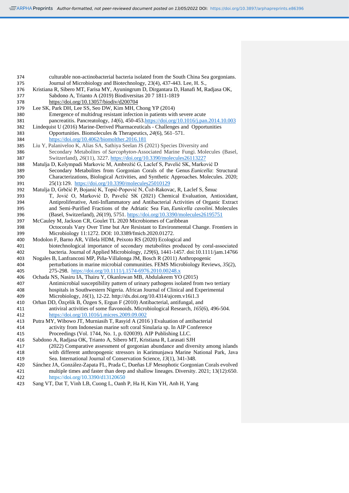| 374 | culturable non-actinobacterial bacteria isolated from the South China Sea gorgonians.  |  |
|-----|----------------------------------------------------------------------------------------|--|
| 375 | Journal of Microbiology and Biotechnology, 23(4), 437-443. Lee, H. S.,                 |  |
| 376 | Kristiana R, Sibero MT, Farisa MY, Ayuningrum D, Dirgantara D, Hanafi M, Radjasa OK,   |  |
| 377 | Sabdono A, Trianto A (2019) Biodiversitas 20 7 1811-1819                               |  |
| 378 | https://doi.org/10.13057/biodiv/d200704                                                |  |
| 379 | Lee SK, Park DH, Lee SS, Seo DW, Kim MH, Chong YP (2014)                               |  |
| 380 | Emergence of multidrug resistant infection in patients with severe acute               |  |
| 381 | pancreatitis. Pancreatology, 14(6), 450-453.https://doi.org/10.1016/j.pan.2014.10.003  |  |
| 382 | Lindequist U (2016) Marine-Derived Pharmaceuticals - Challenges and Opportunities      |  |
| 383 | Opportunities. Biomolecules & Therapeutics, 24(6), 561-571.                            |  |
| 384 | https://doi.org/10.4062/biomolther.2016.181                                            |  |
| 385 | Liu Y, Palaniveloo K, Alias SA, Sathiya Seelan JS (2021) Species Diversity and         |  |
| 386 | Secondary Metabolites of Sarcophyton-Associated Marine Fungi. Molecules (Basel,        |  |
| 387 | Switzerland), 26(11), 3227. https://doi.org/10.3390/molecules26113227                  |  |
| 388 | Matulja D, Kolympadi Markovic M, Ambrožić G, Laclef S, Pavelić SK, Marković D          |  |
| 389 | Secondary Metabolites from Gorgonian Corals of the Genus Eunicella: Structural         |  |
| 390 | Characterizations, Biological Activities, and Synthetic Approaches. Molecules. 2020;   |  |
| 391 | 25(1):129. https://doi.org/10.3390/molecules25010129                                   |  |
| 392 | Matulja D, Grbčić P, Bojanić K, Topić-Popović N, Čož-Rakovac, R, Laclef S, Šmuc        |  |
| 393 | T, Jović O, Marković D, Pavelić SK (2021) Chemical Evaluation, Antioxidant,            |  |
| 394 | Antiproliferative, Anti-Inflammatory and Antibacterial Activities of Organic Extract   |  |
| 395 | and Semi-Purified Fractions of the Adriatic Sea Fan, Eunicella cavolini. Molecules     |  |
| 396 | (Basel, Switzerland), 26(19), 5751. https://doi.org/10.3390/molecules26195751          |  |
| 397 | McCauley M, Jackson CR, Goulet TL 2020 Microbiomes of Caribbean                        |  |
| 398 | Octocorals Vary Over Time but Are Resistant to Environmental Change. Frontiers in      |  |
| 399 | Microbiology 11:1272. DOI: 10.3389/fmicb.2020.01272.                                   |  |
| 400 | Modolon F, Barno AR, Villela HDM, Peixoto RS (2020) Ecological and                     |  |
| 401 | biotechnological importance of secondary metabolites produced by coral-associated      |  |
| 402 | bacteria. Journal of Applied Microbiology, 129(6), 1441-1457. doi:10.1111/jam.14766    |  |
| 403 | Nogales B, Lanfranconi MP, Piña-Villalonga JM, Bosch R (2011) Anthropogenic            |  |
| 404 | perturbations in marine microbial communities. FEMS Microbiology Reviews, 35(2),       |  |
| 405 | 275-298. https://doi.org/10.1111/j.1574-6976.2010.00248.x                              |  |
| 406 | Ochada NS, Nasiru IA, Thairu Y, Okanlowan MB, Abdulakeem YO (2015)                     |  |
| 407 | Antimicrobial susceptibility pattern of urinary pathogens isolated from two tertiary   |  |
| 408 | hospitals in Southwestern Nigeria. African Journal of Clinical and Experimental        |  |
| 409 | Microbiology, 16(1), 12-22. http://dx.doi.org/10.4314/ajcem.v16i1.3                    |  |
| 410 | Orhan DD, Özçelik B, Özgen S, Ergun F (2010) Antibacterial, antifungal, and            |  |
| 411 | antiviral activities of some flavonoids. Microbiological Research, 165(6), 496-504.    |  |
| 412 | https://doi.org/10.1016/j.micres.2009.09.002                                           |  |
| 413 | Putra MY, Wibowo JT, Murniasih T, Rasyid A (2016) Evaluation of antibacterial          |  |
| 414 | activity from Indonesian marine soft coral Sinularia sp. In AIP Conference             |  |
| 415 | Proceedings (Vol. 1744, No. 1, p. 020039). AIP Publishing LLC.                         |  |
| 416 | Sabdono A, Radjasa OK, Trianto A, Sibero MT, Kristiana R, Larasati SJH                 |  |
| 417 | (2022) Comparative assessment of gorgonian abundance and diversity among islands       |  |
| 418 | with different anthropogenic stressors in Karimunjawa Marine National Park, Java       |  |
| 419 | Sea. International Journal of Conservation Science, 13(1), 341-348.                    |  |
| 420 | Sánchez JA, González-Zapata FL, Prada C, Dueñas LF Mesophotic Gorgonian Corals evolved |  |
| 421 | multiple times and faster than deep and shallow lineages. Diversity. 2021; 13(12):650. |  |
| 422 | https://doi.org/10.3390/d13120650                                                      |  |
| 423 | Sang VT, Dat T, Vinh LB, Cuong L, Oanh P, Ha H, Kim YH, Anh H, Yang                    |  |